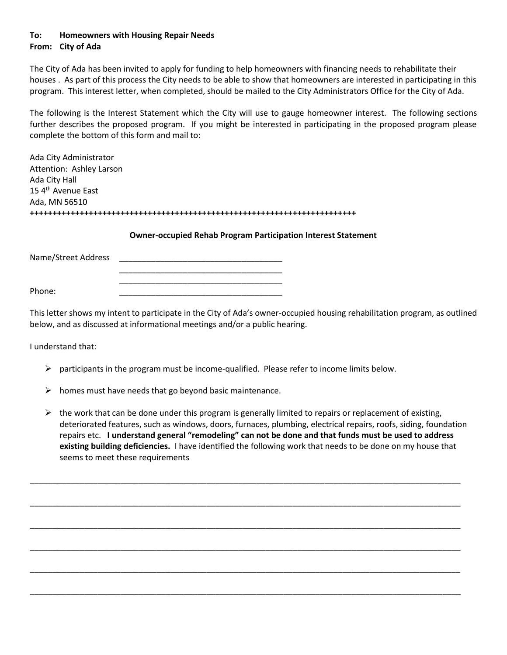# **To: Homeowners with Housing Repair Needs**

### **From: City of Ada**

The City of Ada has been invited to apply for funding to help homeowners with financing needs to rehabilitate their houses . As part of this process the City needs to be able to show that homeowners are interested in participating in this program. This interest letter, when completed, should be mailed to the City Administrators Office for the City of Ada.

The following is the Interest Statement which the City will use to gauge homeowner interest. The following sections further describes the proposed program. If you might be interested in participating in the proposed program please complete the bottom of this form and mail to:

Ada City Administrator Attention: Ashley Larson Ada City Hall 15 4<sup>th</sup> Avenue East Ada, MN 56510 **++++++++++++++++++++++++++++++++++++++++++++++++++++++++++++++++++++++++**

> \_\_\_\_\_\_\_\_\_\_\_\_\_\_\_\_\_\_\_\_\_\_\_\_\_\_\_\_\_\_\_\_\_\_\_\_ \_\_\_\_\_\_\_\_\_\_\_\_\_\_\_\_\_\_\_\_\_\_\_\_\_\_\_\_\_\_\_\_\_\_\_\_

#### **Owner-occupied Rehab Program Participation Interest Statement**

Name/Street Address

Phone: \_\_\_\_\_\_\_\_\_\_\_\_\_\_\_\_\_\_\_\_\_\_\_\_\_\_\_\_\_\_\_\_\_\_\_\_

This letter shows my intent to participate in the City of Ada's owner-occupied housing rehabilitation program, as outlined below, and as discussed at informational meetings and/or a public hearing.

I understand that:

- $\triangleright$  participants in the program must be income-qualified. Please refer to income limits below.
- $\triangleright$  homes must have needs that go beyond basic maintenance.
- $\triangleright$  the work that can be done under this program is generally limited to repairs or replacement of existing, deteriorated features, such as windows, doors, furnaces, plumbing, electrical repairs, roofs, siding, foundation repairs etc. **I understand general "remodeling" can not be done and that funds must be used to address existing building deficiencies.** I have identified the following work that needs to be done on my house that seems to meet these requirements

\_\_\_\_\_\_\_\_\_\_\_\_\_\_\_\_\_\_\_\_\_\_\_\_\_\_\_\_\_\_\_\_\_\_\_\_\_\_\_\_\_\_\_\_\_\_\_\_\_\_\_\_\_\_\_\_\_\_\_\_\_\_\_\_\_\_\_\_\_\_\_\_\_\_\_\_\_\_\_\_\_\_\_\_\_\_\_\_\_\_\_\_\_\_\_

\_\_\_\_\_\_\_\_\_\_\_\_\_\_\_\_\_\_\_\_\_\_\_\_\_\_\_\_\_\_\_\_\_\_\_\_\_\_\_\_\_\_\_\_\_\_\_\_\_\_\_\_\_\_\_\_\_\_\_\_\_\_\_\_\_\_\_\_\_\_\_\_\_\_\_\_\_\_\_\_\_\_\_\_\_\_\_\_\_\_\_\_\_\_\_

\_\_\_\_\_\_\_\_\_\_\_\_\_\_\_\_\_\_\_\_\_\_\_\_\_\_\_\_\_\_\_\_\_\_\_\_\_\_\_\_\_\_\_\_\_\_\_\_\_\_\_\_\_\_\_\_\_\_\_\_\_\_\_\_\_\_\_\_\_\_\_\_\_\_\_\_\_\_\_\_\_\_\_\_\_\_\_\_\_\_\_\_\_\_\_

\_\_\_\_\_\_\_\_\_\_\_\_\_\_\_\_\_\_\_\_\_\_\_\_\_\_\_\_\_\_\_\_\_\_\_\_\_\_\_\_\_\_\_\_\_\_\_\_\_\_\_\_\_\_\_\_\_\_\_\_\_\_\_\_\_\_\_\_\_\_\_\_\_\_\_\_\_\_\_\_\_\_\_\_\_\_\_\_\_\_\_\_\_\_\_

\_\_\_\_\_\_\_\_\_\_\_\_\_\_\_\_\_\_\_\_\_\_\_\_\_\_\_\_\_\_\_\_\_\_\_\_\_\_\_\_\_\_\_\_\_\_\_\_\_\_\_\_\_\_\_\_\_\_\_\_\_\_\_\_\_\_\_\_\_\_\_\_\_\_\_\_\_\_\_\_\_\_\_\_\_\_\_\_\_\_\_\_\_\_\_

\_\_\_\_\_\_\_\_\_\_\_\_\_\_\_\_\_\_\_\_\_\_\_\_\_\_\_\_\_\_\_\_\_\_\_\_\_\_\_\_\_\_\_\_\_\_\_\_\_\_\_\_\_\_\_\_\_\_\_\_\_\_\_\_\_\_\_\_\_\_\_\_\_\_\_\_\_\_\_\_\_\_\_\_\_\_\_\_\_\_\_\_\_\_\_